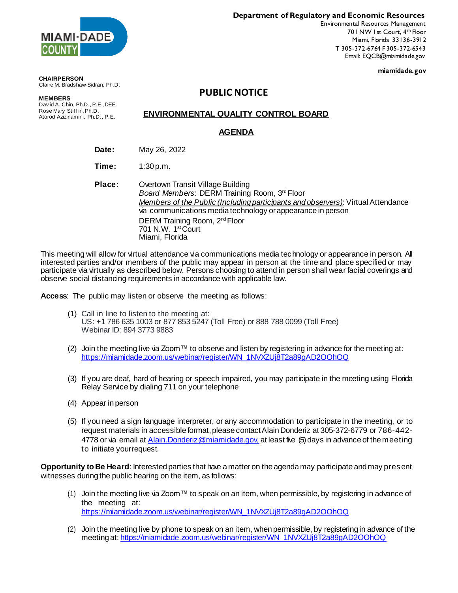

**Department of Regulatory and Economic Resources**

Environmental Resources Management 701 NW 1st Court, 4<sup>th</sup> Floor Miami, Florida 33136-3912 T 305-372-6764 F 305-372-6543 Email: EQCB@miamidade.gov

**miamidade.gov**

#### **CHAIRPERSON** Claire M. Bradshaw-Sidran, Ph.D.

# **PUBLIC NOTICE**

**MEMBERS** Dav id A. Chin, Ph.D., P.E., DEE. Rose Mary Stiff in, Ph.D. Atorod Azizinamini, Ph.D., P.E.

## **ENVIRONMENTAL QUALITY CONTROL BOARD**

## **AGENDA**

**Date:** May 26, 2022

**Time:** 1:30 p.m.

**Place:** Overtown Transit Village Building Board Members: DERM Training Room, 3<sup>rd</sup> Floor *Members of the Public (Including participants and observers)*: Virtual Attendance via communications media technology orappearance in person DERM Training Room, 2<sup>nd</sup> Floor 701 N.W. 1st Court Miami, Florida

This meeting will allow for virtual attendance via communications media technology or appearance in person. All interested parties and/or members of the public may appear in person at the time and place specified or may participate via virtually as described below. Persons choosing to attend in person shall wear facial coverings and observe social distancing requirements in accordance with applicable law.

**Access**: The public may listen or observe the meeting as follows:

- (1) Call in line to listen to the meeting at: US: +1 786 635 1003 or 877 853 5247 (Toll Free) or 888 788 0099 (Toll Free) Webinar ID: 894 3773 9883
- (2) Join the meeting live via Zoom™ to observe and listen by registering in advance for the meeting at: [https://miamidade.zoom.us/webinar/register/WN\\_1NVXZUj8T2a89gAD2OOhOQ](https://miamidade.zoom.us/webinar/register/WN_1NVXZUj8T2a89gAD2OOhOQ)
- (3) If you are deaf, hard of hearing or speech impaired, you may participate in the meeting using Florida Relay Service by dialing 711 on your telephone
- (4) Appear inperson
- (5) If you need a sign language interpreter, or any accommodation to participate in the meeting, or to request materials in accessible format, please contact Alain Donderiz at 305-372-6779 or 786-442-4778 or via email at [Alain.Donderiz@miamidade.gov,](mailto:Alain.Donderiz@miamidade.gov,) at least five (5) days in advance of the meeting to initiate yourrequest.

**Opportunity to Be Heard**: Interested parties that have amatteron the agenda may participate andmay present witnesses during the public hearing on the item, as follows:

- (1) Join the meeting live via Zoom™ to speak on an item, when permissible, by registering in advance of the meeting at: [https://miamidade.zoom.us/webinar/register/WN\\_1NVXZUj8T2a89gAD2OOhOQ](https://miamidade.zoom.us/webinar/register/WN_1NVXZUj8T2a89gAD2OOhOQ)
- (2) Join the meeting live by phone to speak on an item, when permissible, by registering in advance of the meeting at: [https://miamidade.zoom.us/webinar/register/WN\\_1NVXZUj8T2a89gAD2OOhOQ](https://miamidade.zoom.us/webinar/register/WN_1NVXZUj8T2a89gAD2OOhOQ)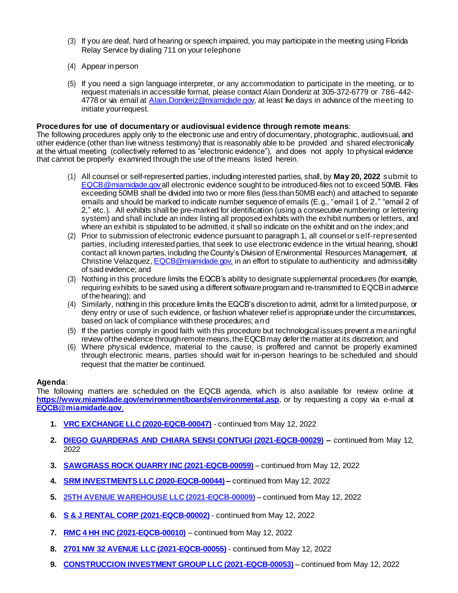- (3) If you are deaf, hard of hearing or speech impaired, you may participate in the meeting using Florida Relay Service by dialing 711 on your telephone
- (4) Appear inperson
- (5) If you need a sign language interpreter, or any accommodation to participate in the meeting, or to request materials in accessible format, please contact Alain Donderiz at 305-372-6779 or 786-442- 4778 or via email at Alain. Donderiz@miamidade.gov, at least five days in advance of the meeting to initiate yourrequest.

#### **Procedures for use of documentary or audiovisual evidence through remote means**:

The following procedures apply only to the electronic use and entry of documentary, photographic, audiovisual, and other evidence (other than live witness testimony) that is reasonably able to be provided and shared electronically at the virtual meeting (collectively referred to as "electronic evidence"), and does not apply to physical evidence that cannot be properly examined through the use of the means listed herein.

- (1) All counsel or self-represented parties, including interested parties, shall, by **May 20, 2022** submit to [EQCB@miamidade.gov a](mailto:eqcb@miamidade.gov)ll electronic evidence sought to be introduced-files not to exceed 50MB. Files exceeding 50MB shall be divided into two or more files (less than 50MB each) and attached to separate emails and should be marked to indicate number sequence of emails (E.g., "email 1 of 2," "email 2 of 2," etc.). All exhibits shall be pre-marked for identification (using a consecutive numbering or lettering system) and shall include an index listing all proposed exhibits with the exhibit numbers or letters, and where an exhibit is stipulated to be admitted, it shall so indicate on the exhibit and on the index; and
- (2) Prior to submission of electronic evidence pursuant to paragraph 1, all counsel or self-represented parties, including interested parties, that seek to use electronic evidence in the virtual hearing, should contact all known parties, including the County's Division of Environmental Resources Management, at Christine Velazquez[, EQCB@miamidade.gov,](mailto:EQCB@miamidade.gov,) in an effort to stipulate to authenticity and admissibility of said evidence; and
- (3) Nothing in this procedure limits the EQCB's ability to designate supplemental procedures (for example, requiring exhibits to be saved using a different software program and re-transmitted to EQCBinadvance of the hearing); and
- (4) Similarly, nothing in this procedure limits the EQCB's discretion to admit, admit for a limited purpose, or deny entry or use of such evidence, or fashion whatever relief is appropriate under the circumstances, based on lack of compliance with these procedures; and
- (5) If the parties comply in good faith with this procedure but technological issues prevent a meaningful review of the evidence through remote means, the EQCB may defer the matter at its discretion; and
- (6) Where physical evidence, material to the cause, is proffered and cannot be properly examined through electronic means, parties should wait for in-person hearings to be scheduled and should request that thematter be continued.

### **Agenda**:

The following matters are scheduled on the EQCB agenda, which is also available for review online at **<https://www.miamidade.gov/environment/boards/environmental.asp>**, or by requesting a copy via e-mail at **[EQCB@miamidade.gov](mailto:EQCB@miamidade.gov)**.

- **1. VRC [EXCHANGE LLC \(2020-EQCB-00047\)](https://ecmrer.miamidade.gov/hpi/search/default/proc_document/paramName=cs_casenumber¶mValue=2020-eqcb-00047¶mType=property/paramName=proc_document¶mValue=proc_document¶mType=type&pageNumber=1&sortAttr=cs_folio&sortOrder=-1)** continued from May 12, 2022
- **2. DIEGO GUARDERAS [AND CHIARA SENSI CONTUGI \(2021-EQCB-00029\)](https://ecmrer.miamidade.gov/hpi/search/default/proc_document/paramName=cs_casenumber¶mValue=2021-eqcb-00029¶mType=property/paramName=proc_document¶mValue=proc_document¶mType=type&pageNumber=1&sortAttr=cs_folio&sortOrder=-1) –** continued from May 12, 2022
- **3. [SAWGRASS ROCK QUARRY INC \(2021-EQCB-00059\)](https://ecmrer.miamidade.gov/hpi/search/default/proc_document/paramName=cs_casenumber¶mValue=2021-eqcb-00059¶mType=property/paramName=proc_document¶mValue=proc_document¶mType=type&pageNumber=1&sortAttr=cs_folio&sortOrder=-1)** continued from May 12, 2022
- **4. [SRM INVESTMENTS LLC \(2020-EQCB-00044\)](https://ecmrer.miamidade.gov/hpi/search/default/proc_document/paramName=cs_casenumber¶mValue=2020-eqcb-00044¶mType=property/paramName=proc_document¶mValue=proc_document¶mType=type&pageNumber=1&sortAttr=cs_folio&sortOrder=-1) –** continued from May 12, 2022
- **5. [25TH AVENUE WAREHOUSE LLC \(2021-EQCB-00009\)](https://ecmrer.miamidade.gov/hpi/search/default/proc_document/paramName=cs_casenumber¶mValue=2021-eqcb-00009¶mType=property/paramName=proc_document¶mValue=proc_document¶mType=type&pageNumber=1&sortAttr=cs_folio&sortOrder=-1)** continued from May 12, 2022
- **6. [S & J RENTAL CORP \(2021-EQCB-00002\)](https://ecmrer.miamidade.gov/hpi/search/default/proc_document/paramName=cs_casenumber¶mValue=2021-eqcb-00002¶mType=property/paramName=proc_document¶mValue=proc_document¶mType=type&pageNumber=1&sortAttr=cs_folio&sortOrder=-1)** continued from May 12, 2022
- **7. [RMC 4 HH INC \(2021-EQCB-00010\)](https://ecmrer.miamidade.gov/hpi/search/default/proc_document/paramName=cs_casenumber¶mValue=2021-eqcb-00010¶mType=property/paramName=proc_document¶mValue=proc_document¶mType=type&pageNumber=1&sortAttr=cs_folio&sortOrder=-1)** continued from May 12, 2022
- **8. [2701 NW 32 AVENUE LLC \(2021-EQCB-00055\)](https://ecmrer.miamidade.gov/hpi/search/default/proc_document/paramName=cs_casenumber¶mValue=2021-eqcb-00055¶mType=property/paramName=proc_document¶mValue=proc_document¶mType=type&pageNumber=1&sortAttr=cs_folio&sortOrder=-1)** continued from May 12, 2022
- **9. [CONSTRUCCION INVESTMENT GROUP LLC \(2021-EQCB-00053\)](https://ecmrer.miamidade.gov/hpi/search/default/proc_document/paramName=cs_casenumber¶mValue=2021-eqcb-00053¶mType=property/paramName=proc_document¶mValue=proc_document¶mType=type&pageNumber=1&sortAttr=cs_folio&sortOrder=-1)** continued from May 12, 2022